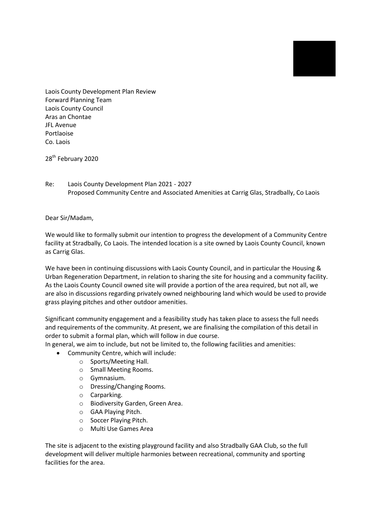Laois County Development Plan Review Forward Planning Team Laois County Council Aras an Chontae JFL Avenue Portlaoise Co. Laois

28<sup>th</sup> February 2020

Re: Laois County Development Plan 2021 - 2027 Proposed Community Centre and Associated Amenities at Carrig Glas, Stradbally, Co Laois

Dear Sir/Madam,

We would like to formally submit our intention to progress the development of a Community Centre facility at Stradbally, Co Laois. The intended location is a site owned by Laois County Council, known as Carrig Glas.

We have been in continuing discussions with Laois County Council, and in particular the Housing & Urban Regeneration Department, in relation to sharing the site for housing and a community facility. As the Laois County Council owned site will provide a portion of the area required, but not all, we are also in discussions regarding privately owned neighbouring land which would be used to provide grass playing pitches and other outdoor amenities.

Significant community engagement and a feasibility study has taken place to assess the full needs and requirements of the community. At present, we are finalising the compilation of this detail in order to submit a formal plan, which will follow in due course.

In general, we aim to include, but not be limited to, the following facilities and amenities:

- Community Centre, which will include:
	- o Sports/Meeting Hall.
	- o Small Meeting Rooms.
	- o Gymnasium.
	- o Dressing/Changing Rooms.
	- o Carparking.
	- o Biodiversity Garden, Green Area.
	- o GAA Playing Pitch.
	- o Soccer Playing Pitch.
	- o Multi Use Games Area

The site is adjacent to the existing playground facility and also Stradbally GAA Club, so the full development will deliver multiple harmonies between recreational, community and sporting facilities for the area.